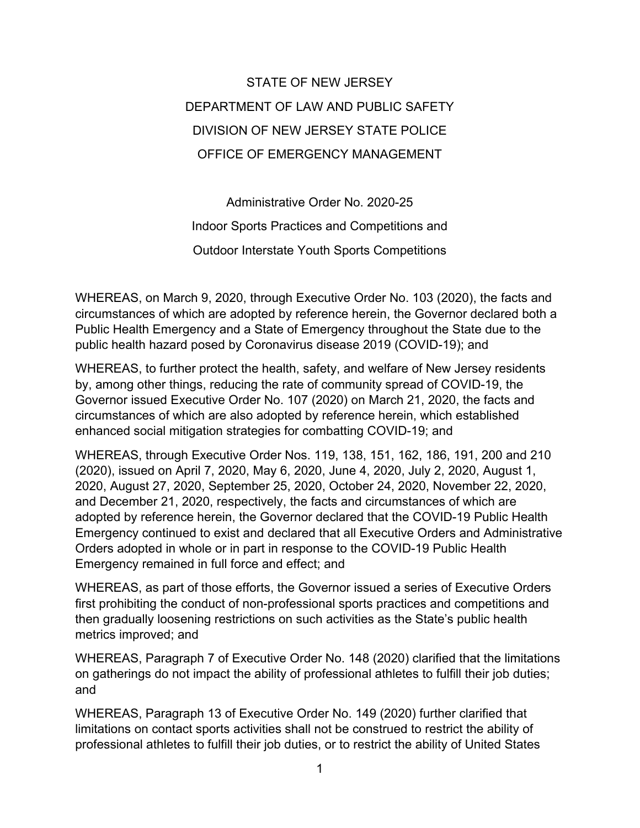## STATE OF NEW JERSEY DEPARTMENT OF LAW AND PUBLIC SAFETY DIVISION OF NEW JERSEY STATE POLICE OFFICE OF EMERGENCY MANAGEMENT

Administrative Order No. 2020-25 Indoor Sports Practices and Competitions and Outdoor Interstate Youth Sports Competitions

WHEREAS, on March 9, 2020, through Executive Order No. 103 (2020), the facts and circumstances of which are adopted by reference herein, the Governor declared both a Public Health Emergency and a State of Emergency throughout the State due to the public health hazard posed by Coronavirus disease 2019 (COVID-19); and

WHEREAS, to further protect the health, safety, and welfare of New Jersey residents by, among other things, reducing the rate of community spread of COVID-19, the Governor issued Executive Order No. 107 (2020) on March 21, 2020, the facts and circumstances of which are also adopted by reference herein, which established enhanced social mitigation strategies for combatting COVID-19; and

WHEREAS, through Executive Order Nos. 119, 138, 151, 162, 186, 191, 200 and 210 (2020), issued on April 7, 2020, May 6, 2020, June 4, 2020, July 2, 2020, August 1, 2020, August 27, 2020, September 25, 2020, October 24, 2020, November 22, 2020, and December 21, 2020, respectively, the facts and circumstances of which are adopted by reference herein, the Governor declared that the COVID-19 Public Health Emergency continued to exist and declared that all Executive Orders and Administrative Orders adopted in whole or in part in response to the COVID-19 Public Health Emergency remained in full force and effect; and

WHEREAS, as part of those efforts, the Governor issued a series of Executive Orders first prohibiting the conduct of non-professional sports practices and competitions and then gradually loosening restrictions on such activities as the State's public health metrics improved; and

WHEREAS, Paragraph 7 of Executive Order No. 148 (2020) clarified that the limitations on gatherings do not impact the ability of professional athletes to fulfill their job duties; and

WHEREAS, Paragraph 13 of Executive Order No. 149 (2020) further clarified that limitations on contact sports activities shall not be construed to restrict the ability of professional athletes to fulfill their job duties, or to restrict the ability of United States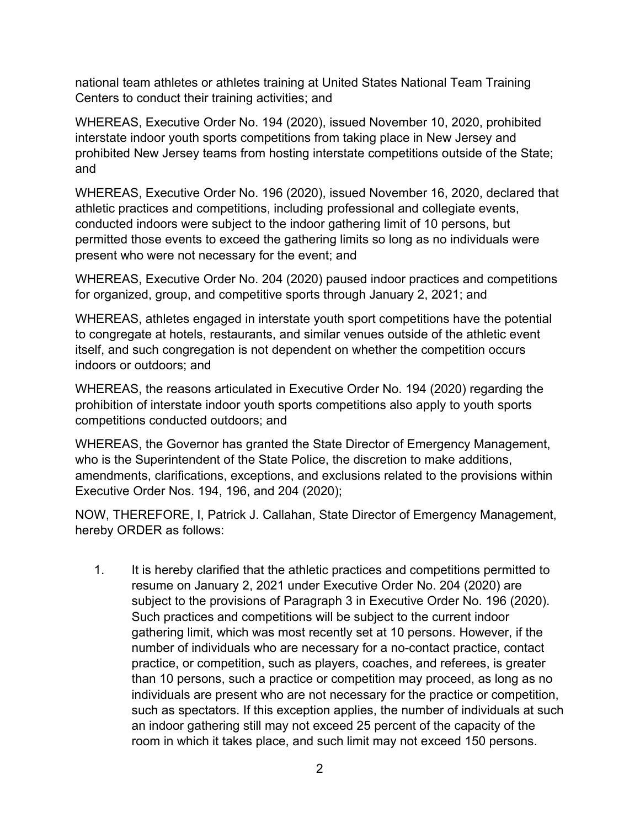national team athletes or athletes training at United States National Team Training Centers to conduct their training activities; and

WHEREAS, Executive Order No. 194 (2020), issued November 10, 2020, prohibited interstate indoor youth sports competitions from taking place in New Jersey and prohibited New Jersey teams from hosting interstate competitions outside of the State; and

WHEREAS, Executive Order No. 196 (2020), issued November 16, 2020, declared that athletic practices and competitions, including professional and collegiate events, conducted indoors were subject to the indoor gathering limit of 10 persons, but permitted those events to exceed the gathering limits so long as no individuals were present who were not necessary for the event; and

WHEREAS, Executive Order No. 204 (2020) paused indoor practices and competitions for organized, group, and competitive sports through January 2, 2021; and

WHEREAS, athletes engaged in interstate youth sport competitions have the potential to congregate at hotels, restaurants, and similar venues outside of the athletic event itself, and such congregation is not dependent on whether the competition occurs indoors or outdoors; and

WHEREAS, the reasons articulated in Executive Order No. 194 (2020) regarding the prohibition of interstate indoor youth sports competitions also apply to youth sports competitions conducted outdoors; and

WHEREAS, the Governor has granted the State Director of Emergency Management, who is the Superintendent of the State Police, the discretion to make additions, amendments, clarifications, exceptions, and exclusions related to the provisions within Executive Order Nos. 194, 196, and 204 (2020);

NOW, THEREFORE, I, Patrick J. Callahan, State Director of Emergency Management, hereby ORDER as follows:

1. It is hereby clarified that the athletic practices and competitions permitted to resume on January 2, 2021 under Executive Order No. 204 (2020) are subject to the provisions of Paragraph 3 in Executive Order No. 196 (2020). Such practices and competitions will be subject to the current indoor gathering limit, which was most recently set at 10 persons. However, if the number of individuals who are necessary for a no-contact practice, contact practice, or competition, such as players, coaches, and referees, is greater than 10 persons, such a practice or competition may proceed, as long as no individuals are present who are not necessary for the practice or competition, such as spectators. If this exception applies, the number of individuals at such an indoor gathering still may not exceed 25 percent of the capacity of the room in which it takes place, and such limit may not exceed 150 persons.